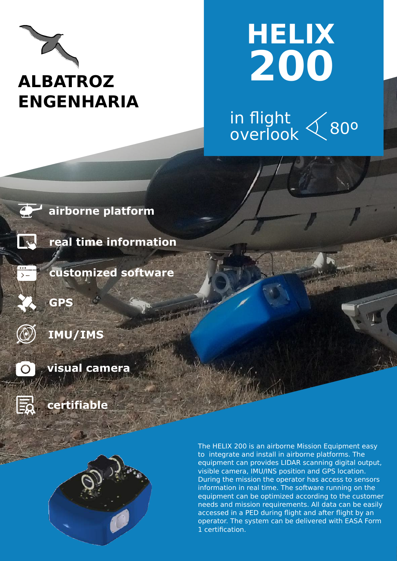

## **HELIX 200**

in flight overlook 80º





**real time information** 

**customized software**



 $|\bar{=}$ 

**GPS** 



**visual camera**

**certifiable** 



The HELIX 200 is an airborne Mission Equipment easy to integrate and install in airborne platforms. The equipment can provides LIDAR scanning digital output, visible camera, IMU/INS position and GPS location. During the mission the operator has access to sensors information in real time. The software running on the equipment can be optimized according to the customer needs and mission requirements. All data can be easily accessed in a PED during flight and after flight by an operator. The system can be delivered with EASA Form 1 certification.